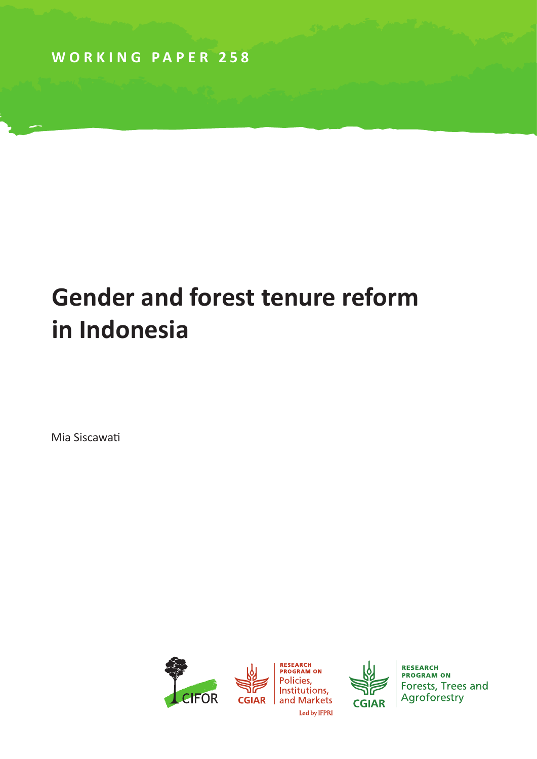**WORKING PAPER 258**

# **Gender and forest tenure reform in Indonesia**

Mia Siscawati



**CGIAR** 

**RESEARCH PROGRAM ON** Forests, Trees and Agroforestry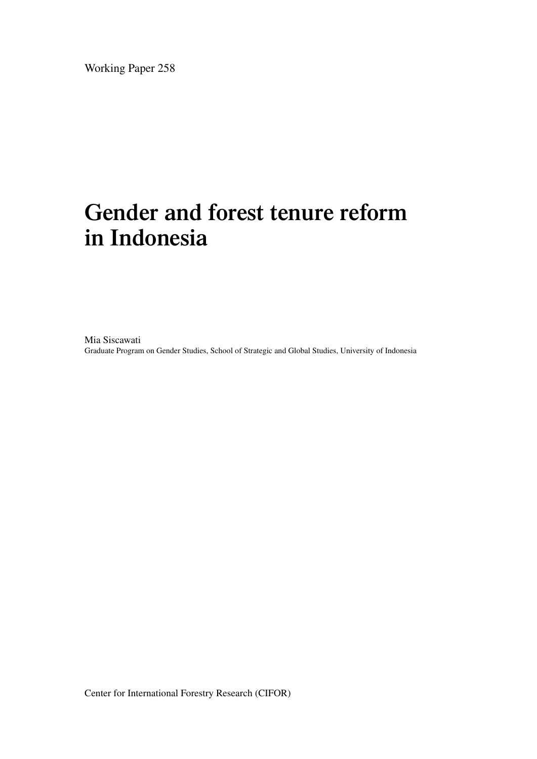Working Paper 258

## **Gender and forest tenure reform in Indonesia**

Mia Siscawati Graduate Program on Gender Studies, School of Strategic and Global Studies, University of Indonesia

Center for International Forestry Research (CIFOR)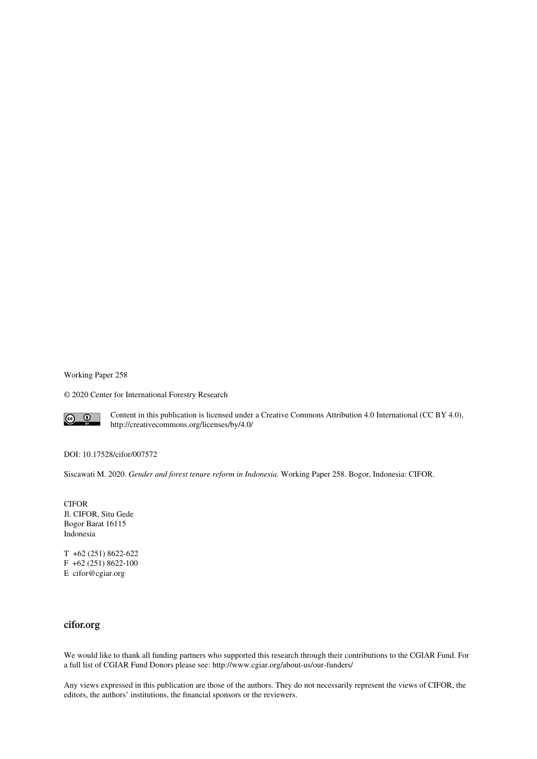Working Paper 258

© 2020 Center for International Forestry Research



Content in this publication is licensed under a Creative Commons Attribution 4.0 International (CC BY 4.0), http://creativecommons.org/licenses/by/4.0/

DOI: 10.17528/cifor/007572

Siscawati M. 2020. *Gender and forest tenure reform in Indonesia.* Working Paper 258. Bogor, Indonesia: CIFOR.

CIFOR Jl. CIFOR, Situ Gede Bogor Barat 16115 Indonesia

T +62 (251) 8622-622 F +62 (251) 8622-100 E cifor@cgiar.org

#### **cifor.org**

We would like to thank all funding partners who supported this research through their contributions to the CGIAR Fund. For a full list of CGIAR Fund Donors please see: http://www.cgiar.org/about-us/our-funders/

Any views expressed in this publication are those of the authors. They do not necessarily represent the views of CIFOR, the editors, the authors' institutions, the financial sponsors or the reviewers.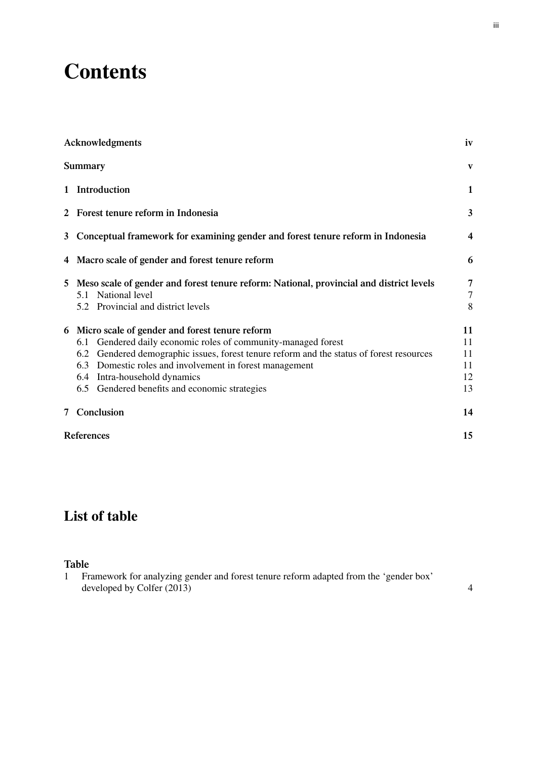## **Contents**

|   | Acknowledgments                                                                                                                                                                                                                                                                                                                                                 | iv                                    |
|---|-----------------------------------------------------------------------------------------------------------------------------------------------------------------------------------------------------------------------------------------------------------------------------------------------------------------------------------------------------------------|---------------------------------------|
|   | <b>Summary</b>                                                                                                                                                                                                                                                                                                                                                  | V                                     |
|   | 1 Introduction                                                                                                                                                                                                                                                                                                                                                  | 1                                     |
|   | 2 Forest tenure reform in Indonesia                                                                                                                                                                                                                                                                                                                             | 3                                     |
|   | 3 Conceptual framework for examining gender and forest tenure reform in Indonesia                                                                                                                                                                                                                                                                               | $\overline{\mathbf{r}}$               |
|   | 4 Macro scale of gender and forest tenure reform                                                                                                                                                                                                                                                                                                                | 6                                     |
| 5 | Meso scale of gender and forest tenure reform: National, provincial and district levels<br>5.1 National level<br>5.2 Provincial and district levels                                                                                                                                                                                                             | $\overline{7}$<br>$\overline{7}$<br>8 |
|   | 6 Micro scale of gender and forest tenure reform<br>Gendered daily economic roles of community-managed forest<br>6.1<br>Gendered demographic issues, forest tenure reform and the status of forest resources<br>6.2<br>6.3 Domestic roles and involvement in forest management<br>6.4 Intra-household dynamics<br>6.5 Gendered benefits and economic strategies | 11<br>11<br>11<br>11<br>12<br>13      |
|   | 7 Conclusion                                                                                                                                                                                                                                                                                                                                                    | 14                                    |
|   | References                                                                                                                                                                                                                                                                                                                                                      |                                       |

### **List of table**

#### **Table**

1 Framework for analyzing gender and forest tenure reform adapted from the 'gender box' developed by Colfer (2013) 4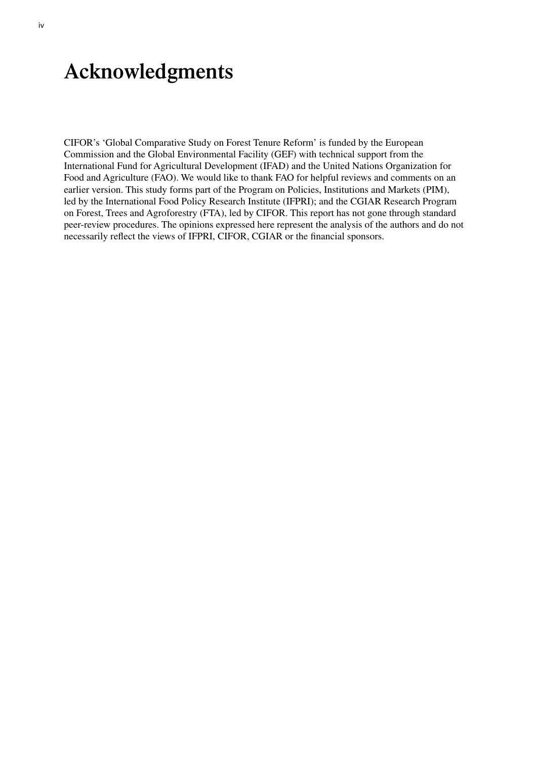### <span id="page-5-0"></span>**Acknowledgments**

CIFOR's 'Global Comparative Study on Forest Tenure Reform' is funded by the European Commission and the Global Environmental Facility (GEF) with technical support from the International Fund for Agricultural Development (IFAD) and the United Nations Organization for Food and Agriculture (FAO). We would like to thank FAO for helpful reviews and comments on an earlier version. This study forms part of the Program on Policies, Institutions and Markets (PIM), led by the International Food Policy Research Institute (IFPRI); and the CGIAR Research Program on Forest, Trees and Agroforestry (FTA), led by CIFOR. This report has not gone through standard peer-review procedures. The opinions expressed here represent the analysis of the authors and do not necessarily reflect the views of IFPRI, CIFOR, CGIAR or the financial sponsors.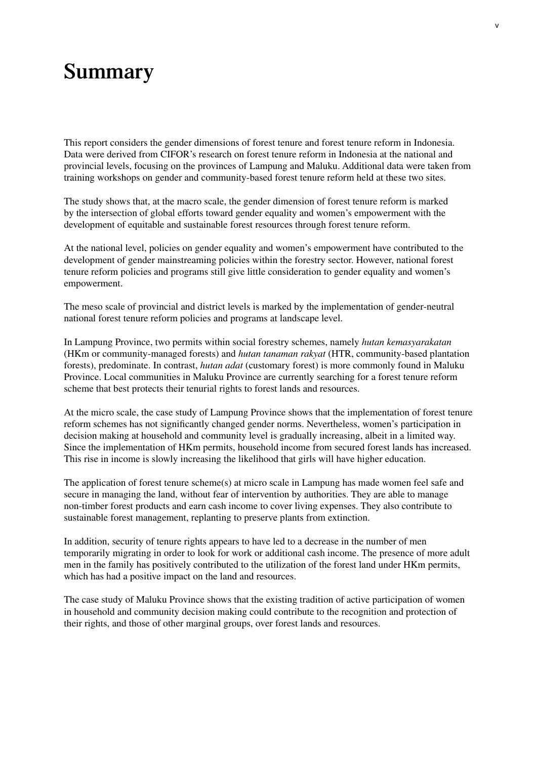### <span id="page-6-0"></span>**Summary**

This report considers the gender dimensions of forest tenure and forest tenure reform in Indonesia. Data were derived from CIFOR's research on forest tenure reform in Indonesia at the national and provincial levels, focusing on the provinces of Lampung and Maluku. Additional data were taken from training workshops on gender and community-based forest tenure reform held at these two sites.

The study shows that, at the macro scale, the gender dimension of forest tenure reform is marked by the intersection of global efforts toward gender equality and women's empowerment with the development of equitable and sustainable forest resources through forest tenure reform.

At the national level, policies on gender equality and women's empowerment have contributed to the development of gender mainstreaming policies within the forestry sector. However, national forest tenure reform policies and programs still give little consideration to gender equality and women's empowerment.

The meso scale of provincial and district levels is marked by the implementation of gender-neutral national forest tenure reform policies and programs at landscape level.

In Lampung Province, two permits within social forestry schemes, namely *hutan kemasyarakatan* (HKm or community-managed forests) and *hutan tanaman rakyat* (HTR, community-based plantation forests), predominate. In contrast, *hutan adat* (customary forest) is more commonly found in Maluku Province. Local communities in Maluku Province are currently searching for a forest tenure reform scheme that best protects their tenurial rights to forest lands and resources.

At the micro scale, the case study of Lampung Province shows that the implementation of forest tenure reform schemes has not significantly changed gender norms. Nevertheless, women's participation in decision making at household and community level is gradually increasing, albeit in a limited way. Since the implementation of HKm permits, household income from secured forest lands has increased. This rise in income is slowly increasing the likelihood that girls will have higher education.

The application of forest tenure scheme(s) at micro scale in Lampung has made women feel safe and secure in managing the land, without fear of intervention by authorities. They are able to manage non-timber forest products and earn cash income to cover living expenses. They also contribute to sustainable forest management, replanting to preserve plants from extinction.

In addition, security of tenure rights appears to have led to a decrease in the number of men temporarily migrating in order to look for work or additional cash income. The presence of more adult men in the family has positively contributed to the utilization of the forest land under HKm permits, which has had a positive impact on the land and resources.

The case study of Maluku Province shows that the existing tradition of active participation of women in household and community decision making could contribute to the recognition and protection of their rights, and those of other marginal groups, over forest lands and resources.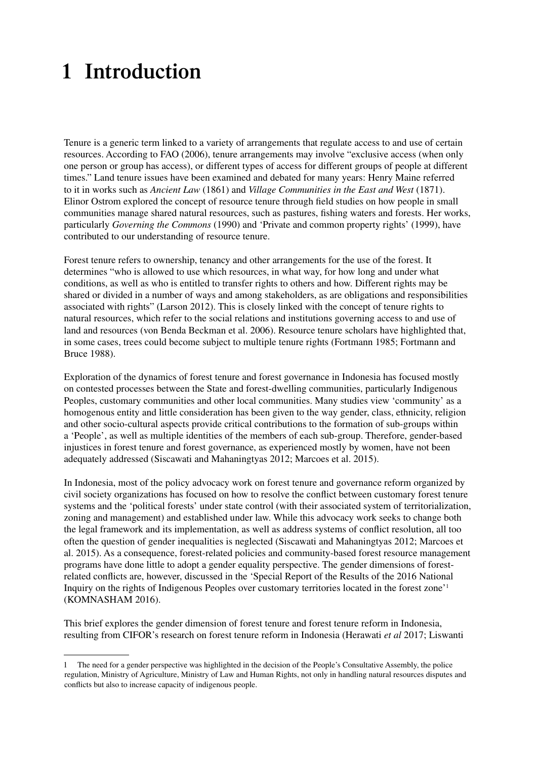## <span id="page-8-0"></span>**1 Introduction**

Tenure is a generic term linked to a variety of arrangements that regulate access to and use of certain resources. According to FAO (2006), tenure arrangements may involve "exclusive access (when only one person or group has access), or different types of access for different groups of people at different times." Land tenure issues have been examined and debated for many years: Henry Maine referred to it in works such as *Ancient Law* (1861) and *Village Communities in the East and West* (1871). Elinor Ostrom explored the concept of resource tenure through field studies on how people in small communities manage shared natural resources, such as pastures, fishing waters and forests. Her works, particularly *Governing the Commons* (1990) and 'Private and common property rights' (1999), have contributed to our understanding of resource tenure.

Forest tenure refers to ownership, tenancy and other arrangements for the use of the forest. It determines "who is allowed to use which resources, in what way, for how long and under what conditions, as well as who is entitled to transfer rights to others and how. Different rights may be shared or divided in a number of ways and among stakeholders, as are obligations and responsibilities associated with rights" (Larson 2012). This is closely linked with the concept of tenure rights to natural resources, which refer to the social relations and institutions governing access to and use of land and resources (von Benda Beckman et al. 2006). Resource tenure scholars have highlighted that, in some cases, trees could become subject to multiple tenure rights (Fortmann 1985; Fortmann and Bruce 1988).

Exploration of the dynamics of forest tenure and forest governance in Indonesia has focused mostly on contested processes between the State and forest-dwelling communities, particularly Indigenous Peoples, customary communities and other local communities. Many studies view 'community' as a homogenous entity and little consideration has been given to the way gender, class, ethnicity, religion and other socio-cultural aspects provide critical contributions to the formation of sub-groups within a 'People', as well as multiple identities of the members of each sub-group. Therefore, gender-based injustices in forest tenure and forest governance, as experienced mostly by women, have not been adequately addressed (Siscawati and Mahaningtyas 2012; Marcoes et al. 2015).

In Indonesia, most of the policy advocacy work on forest tenure and governance reform organized by civil society organizations has focused on how to resolve the conflict between customary forest tenure systems and the 'political forests' under state control (with their associated system of territorialization, zoning and management) and established under law. While this advocacy work seeks to change both the legal framework and its implementation, as well as address systems of conflict resolution, all too often the question of gender inequalities is neglected (Siscawati and Mahaningtyas 2012; Marcoes et al. 2015). As a consequence, forest-related policies and community-based forest resource management programs have done little to adopt a gender equality perspective. The gender dimensions of forestrelated conflicts are, however, discussed in the 'Special Report of the Results of the 2016 National Inquiry on the rights of Indigenous Peoples over customary territories located in the forest zone'1 (KOMNASHAM 2016).

This brief explores the gender dimension of forest tenure and forest tenure reform in Indonesia, resulting from CIFOR's research on forest tenure reform in Indonesia (Herawati *et al* 2017; Liswanti

<sup>1</sup> The need for a gender perspective was highlighted in the decision of the People's Consultative Assembly, the police regulation, Ministry of Agriculture, Ministry of Law and Human Rights, not only in handling natural resources disputes and conflicts but also to increase capacity of indigenous people.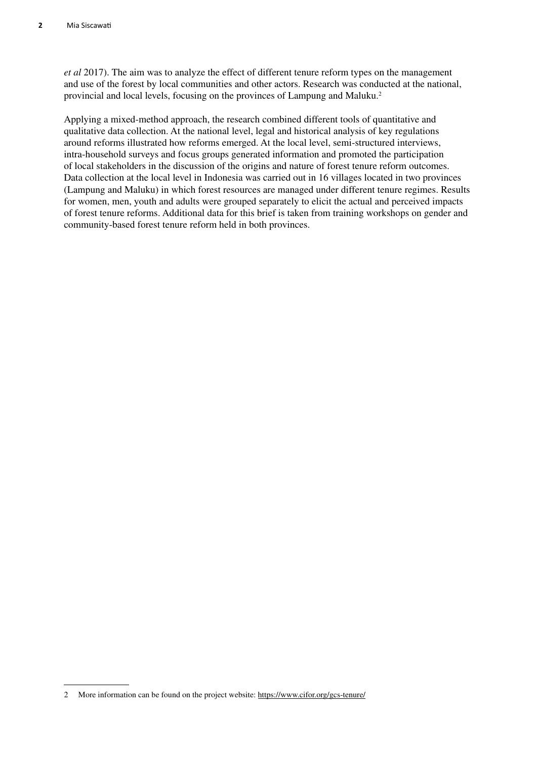*et al* 2017). The aim was to analyze the effect of different tenure reform types on the management and use of the forest by local communities and other actors. Research was conducted at the national, provincial and local levels, focusing on the provinces of Lampung and Maluku.2

Applying a mixed-method approach, the research combined different tools of quantitative and qualitative data collection. At the national level, legal and historical analysis of key regulations around reforms illustrated how reforms emerged. At the local level, semi-structured interviews, intra-household surveys and focus groups generated information and promoted the participation of local stakeholders in the discussion of the origins and nature of forest tenure reform outcomes. Data collection at the local level in Indonesia was carried out in 16 villages located in two provinces (Lampung and Maluku) in which forest resources are managed under different tenure regimes. Results for women, men, youth and adults were grouped separately to elicit the actual and perceived impacts of forest tenure reforms. Additional data for this brief is taken from training workshops on gender and community-based forest tenure reform held in both provinces.

<sup>2</sup> More information can be found on the project website:<https://www.cifor.org/gcs-tenure/>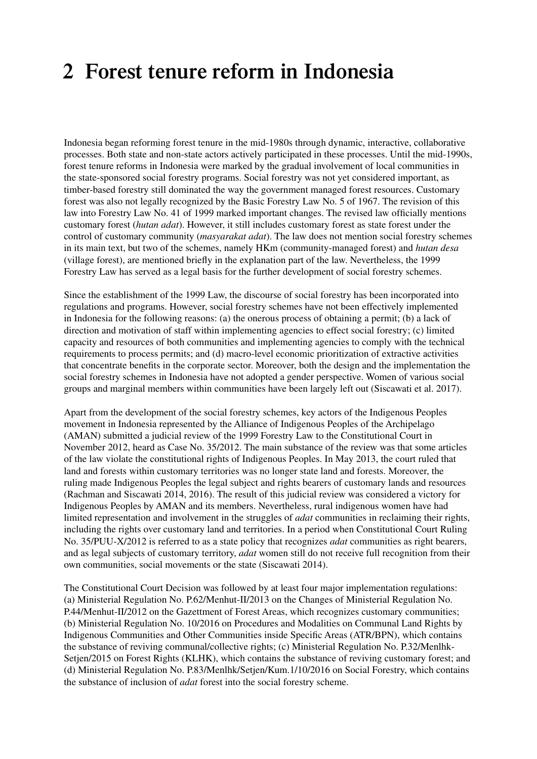## <span id="page-10-0"></span>**2 Forest tenure reform in Indonesia**

Indonesia began reforming forest tenure in the mid-1980s through dynamic, interactive, collaborative processes. Both state and non-state actors actively participated in these processes. Until the mid-1990s, forest tenure reforms in Indonesia were marked by the gradual involvement of local communities in the state-sponsored social forestry programs. Social forestry was not yet considered important, as timber-based forestry still dominated the way the government managed forest resources. Customary forest was also not legally recognized by the Basic Forestry Law No. 5 of 1967. The revision of this law into Forestry Law No. 41 of 1999 marked important changes. The revised law officially mentions customary forest (*hutan adat*). However, it still includes customary forest as state forest under the control of customary community (*masyarakat adat*). The law does not mention social forestry schemes in its main text, but two of the schemes, namely HKm (community-managed forest) and *hutan desa* (village forest), are mentioned briefly in the explanation part of the law. Nevertheless, the 1999 Forestry Law has served as a legal basis for the further development of social forestry schemes.

Since the establishment of the 1999 Law, the discourse of social forestry has been incorporated into regulations and programs. However, social forestry schemes have not been effectively implemented in Indonesia for the following reasons: (a) the onerous process of obtaining a permit; (b) a lack of direction and motivation of staff within implementing agencies to effect social forestry; (c) limited capacity and resources of both communities and implementing agencies to comply with the technical requirements to process permits; and (d) macro-level economic prioritization of extractive activities that concentrate benefits in the corporate sector. Moreover, both the design and the implementation the social forestry schemes in Indonesia have not adopted a gender perspective. Women of various social groups and marginal members within communities have been largely left out (Siscawati et al. 2017).

Apart from the development of the social forestry schemes, key actors of the Indigenous Peoples movement in Indonesia represented by the Alliance of Indigenous Peoples of the Archipelago (AMAN) submitted a judicial review of the 1999 Forestry Law to the Constitutional Court in November 2012, heard as Case No. 35/2012. The main substance of the review was that some articles of the law violate the constitutional rights of Indigenous Peoples. In May 2013, the court ruled that land and forests within customary territories was no longer state land and forests. Moreover, the ruling made Indigenous Peoples the legal subject and rights bearers of customary lands and resources (Rachman and Siscawati 2014, 2016). The result of this judicial review was considered a victory for Indigenous Peoples by AMAN and its members. Nevertheless, rural indigenous women have had limited representation and involvement in the struggles of *adat* communities in reclaiming their rights, including the rights over customary land and territories. In a period when Constitutional Court Ruling No. 35/PUU-X/2012 is referred to as a state policy that recognizes *adat* communities as right bearers, and as legal subjects of customary territory, *adat* women still do not receive full recognition from their own communities, social movements or the state (Siscawati 2014).

The Constitutional Court Decision was followed by at least four major implementation regulations: (a) Ministerial Regulation No. P.62/Menhut-II/2013 on the Changes of Ministerial Regulation No. P.44/Menhut-II/2012 on the Gazettment of Forest Areas, which recognizes customary communities; (b) Ministerial Regulation No. 10/2016 on Procedures and Modalities on Communal Land Rights by Indigenous Communities and Other Communities inside Specific Areas (ATR/BPN), which contains the substance of reviving communal/collective rights; (c) Ministerial Regulation No. P.32/Menlhk-Setjen/2015 on Forest Rights (KLHK), which contains the substance of reviving customary forest; and (d) Ministerial Regulation No. P.83/Menlhk/Setjen/Kum.1/10/2016 on Social Forestry, which contains the substance of inclusion of *adat* forest into the social forestry scheme.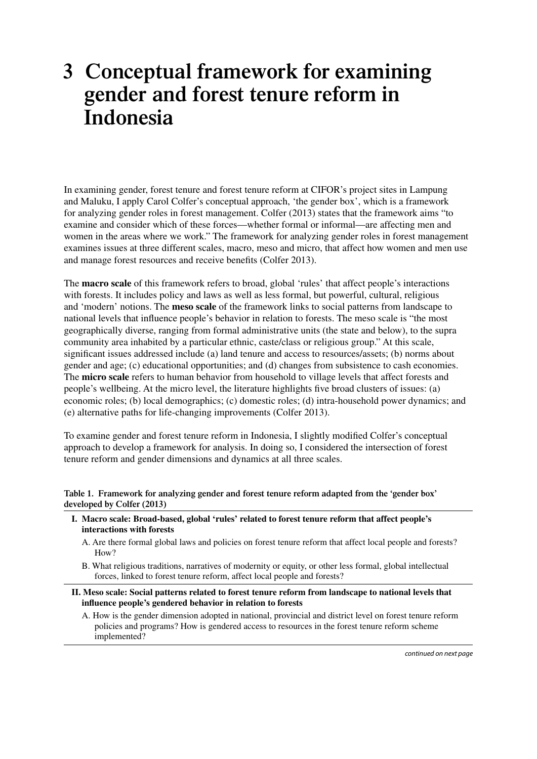## <span id="page-11-0"></span>**3 Conceptual framework for examining gender and forest tenure reform in Indonesia**

In examining gender, forest tenure and forest tenure reform at CIFOR's project sites in Lampung and Maluku, I apply Carol Colfer's conceptual approach, 'the gender box', which is a framework for analyzing gender roles in forest management. Colfer (2013) states that the framework aims "to examine and consider which of these forces—whether formal or informal—are affecting men and women in the areas where we work." The framework for analyzing gender roles in forest management examines issues at three different scales, macro, meso and micro, that affect how women and men use and manage forest resources and receive benefits (Colfer 2013).

The **macro scale** of this framework refers to broad, global 'rules' that affect people's interactions with forests. It includes policy and laws as well as less formal, but powerful, cultural, religious and 'modern' notions. The **meso scale** of the framework links to social patterns from landscape to national levels that influence people's behavior in relation to forests. The meso scale is "the most geographically diverse, ranging from formal administrative units (the state and below), to the supra community area inhabited by a particular ethnic, caste/class or religious group." At this scale, significant issues addressed include (a) land tenure and access to resources/assets; (b) norms about gender and age; (c) educational opportunities; and (d) changes from subsistence to cash economies. The **micro scale** refers to human behavior from household to village levels that affect forests and people's wellbeing. At the micro level, the literature highlights five broad clusters of issues: (a) economic roles; (b) local demographics; (c) domestic roles; (d) intra-household power dynamics; and (e) alternative paths for life-changing improvements (Colfer 2013).

To examine gender and forest tenure reform in Indonesia, I slightly modified Colfer's conceptual approach to develop a framework for analysis. In doing so, I considered the intersection of forest tenure reform and gender dimensions and dynamics at all three scales.

**Table 1. Framework for analyzing gender and forest tenure reform adapted from the 'gender box' developed by Colfer (2013)**

- **I. Macro scale: Broad-based, global 'rules' related to forest tenure reform that affect people's interactions with forests**
	- A. Are there formal global laws and policies on forest tenure reform that affect local people and forests? How?
	- B. What religious traditions, narratives of modernity or equity, or other less formal, global intellectual forces, linked to forest tenure reform, affect local people and forests?
- **II. Meso scale: Social patterns related to forest tenure reform from landscape to national levels that influence people's gendered behavior in relation to forests**
	- A. How is the gender dimension adopted in national, provincial and district level on forest tenure reform policies and programs? How is gendered access to resources in the forest tenure reform scheme implemented?

*continued on next page*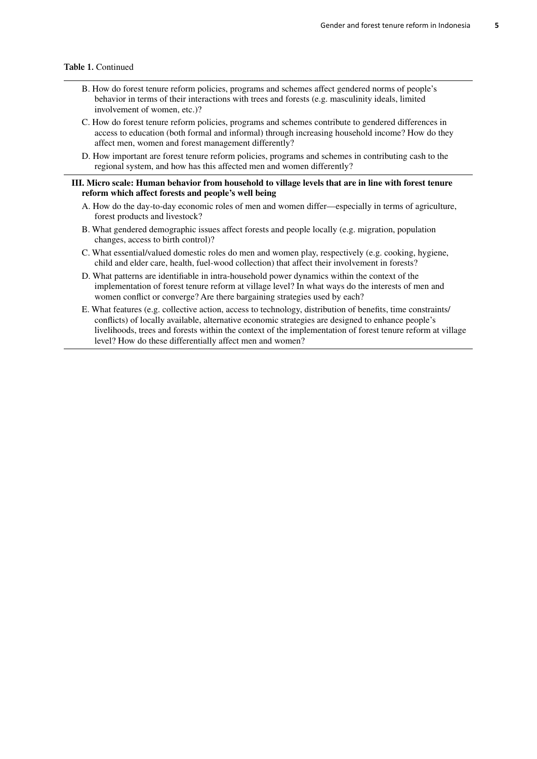#### **Table 1.** Continued

- B. How do forest tenure reform policies, programs and schemes affect gendered norms of people's behavior in terms of their interactions with trees and forests (e.g. masculinity ideals, limited involvement of women, etc.)?
- C. How do forest tenure reform policies, programs and schemes contribute to gendered differences in access to education (both formal and informal) through increasing household income? How do they affect men, women and forest management differently?
- D. How important are forest tenure reform policies, programs and schemes in contributing cash to the regional system, and how has this affected men and women differently?

#### **III. Micro scale: Human behavior from household to village levels that are in line with forest tenure reform which affect forests and people's well being**

- A. How do the day-to-day economic roles of men and women differ—especially in terms of agriculture, forest products and livestock?
- B. What gendered demographic issues affect forests and people locally (e.g. migration, population changes, access to birth control)?
- C. What essential/valued domestic roles do men and women play, respectively (e.g. cooking, hygiene, child and elder care, health, fuel-wood collection) that affect their involvement in forests?
- D. What patterns are identifiable in intra-household power dynamics within the context of the implementation of forest tenure reform at village level? In what ways do the interests of men and women conflict or converge? Are there bargaining strategies used by each?
- E. What features (e.g. collective action, access to technology, distribution of benefits, time constraints/ conflicts) of locally available, alternative economic strategies are designed to enhance people's livelihoods, trees and forests within the context of the implementation of forest tenure reform at village level? How do these differentially affect men and women?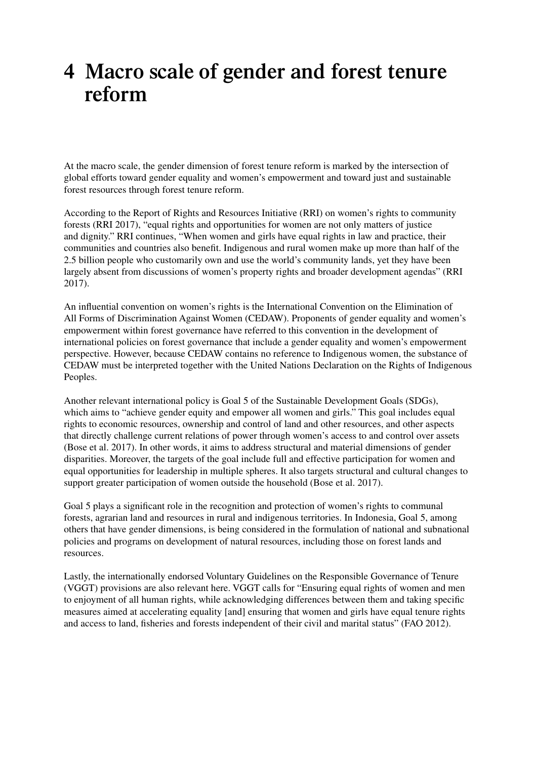## <span id="page-13-0"></span>**4 Macro scale of gender and forest tenure reform**

At the macro scale, the gender dimension of forest tenure reform is marked by the intersection of global efforts toward gender equality and women's empowerment and toward just and sustainable forest resources through forest tenure reform.

According to the Report of Rights and Resources Initiative (RRI) on women's rights to community forests (RRI 2017), "equal rights and opportunities for women are not only matters of justice and dignity." RRI continues, "When women and girls have equal rights in law and practice, their communities and countries also benefit. Indigenous and rural women make up more than half of the 2.5 billion people who customarily own and use the world's community lands, yet they have been largely absent from discussions of women's property rights and broader development agendas" (RRI 2017).

An influential convention on women's rights is the International Convention on the Elimination of All Forms of Discrimination Against Women (CEDAW). Proponents of gender equality and women's empowerment within forest governance have referred to this convention in the development of international policies on forest governance that include a gender equality and women's empowerment perspective. However, because CEDAW contains no reference to Indigenous women, the substance of CEDAW must be interpreted together with the United Nations Declaration on the Rights of Indigenous Peoples.

Another relevant international policy is Goal 5 of the Sustainable Development Goals (SDGs), which aims to "achieve gender equity and empower all women and girls." This goal includes equal rights to economic resources, ownership and control of land and other resources, and other aspects that directly challenge current relations of power through women's access to and control over assets (Bose et al. 2017). In other words, it aims to address structural and material dimensions of gender disparities. Moreover, the targets of the goal include full and effective participation for women and equal opportunities for leadership in multiple spheres. It also targets structural and cultural changes to support greater participation of women outside the household (Bose et al. 2017).

Goal 5 plays a significant role in the recognition and protection of women's rights to communal forests, agrarian land and resources in rural and indigenous territories. In Indonesia, Goal 5, among others that have gender dimensions, is being considered in the formulation of national and subnational policies and programs on development of natural resources, including those on forest lands and resources.

Lastly, the internationally endorsed Voluntary Guidelines on the Responsible Governance of Tenure (VGGT) provisions are also relevant here. VGGT calls for "Ensuring equal rights of women and men to enjoyment of all human rights, while acknowledging differences between them and taking specific measures aimed at accelerating equality [and] ensuring that women and girls have equal tenure rights and access to land, fisheries and forests independent of their civil and marital status" (FAO 2012).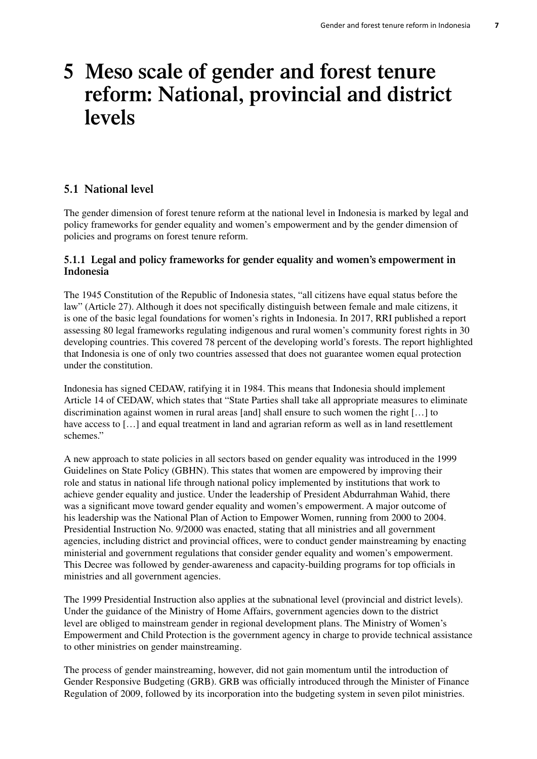## <span id="page-14-0"></span>**5 Meso scale of gender and forest tenure reform: National, provincial and district levels**

### **5.1 National level**

The gender dimension of forest tenure reform at the national level in Indonesia is marked by legal and policy frameworks for gender equality and women's empowerment and by the gender dimension of policies and programs on forest tenure reform.

#### **5.1.1 Legal and policy frameworks for gender equality and women's empowerment in Indonesia**

The 1945 Constitution of the Republic of Indonesia states, "all citizens have equal status before the law" (Article 27). Although it does not specifically distinguish between female and male citizens, it is one of the basic legal foundations for women's rights in Indonesia. In 2017, RRI published a report assessing 80 legal frameworks regulating indigenous and rural women's community forest rights in 30 developing countries. This covered 78 percent of the developing world's forests. The report highlighted that Indonesia is one of only two countries assessed that does not guarantee women equal protection under the constitution.

Indonesia has signed CEDAW, ratifying it in 1984. This means that Indonesia should implement Article 14 of CEDAW, which states that "State Parties shall take all appropriate measures to eliminate discrimination against women in rural areas [and] shall ensure to such women the right […] to have access to [...] and equal treatment in land and agrarian reform as well as in land resettlement schemes."

A new approach to state policies in all sectors based on gender equality was introduced in the 1999 Guidelines on State Policy (GBHN). This states that women are empowered by improving their role and status in national life through national policy implemented by institutions that work to achieve gender equality and justice. Under the leadership of President Abdurrahman Wahid, there was a significant move toward gender equality and women's empowerment. A major outcome of his leadership was the National Plan of Action to Empower Women, running from 2000 to 2004. Presidential Instruction No. 9/2000 was enacted, stating that all ministries and all government agencies, including district and provincial offices, were to conduct gender mainstreaming by enacting ministerial and government regulations that consider gender equality and women's empowerment. This Decree was followed by gender-awareness and capacity-building programs for top officials in ministries and all government agencies.

The 1999 Presidential Instruction also applies at the subnational level (provincial and district levels). Under the guidance of the Ministry of Home Affairs, government agencies down to the district level are obliged to mainstream gender in regional development plans. The Ministry of Women's Empowerment and Child Protection is the government agency in charge to provide technical assistance to other ministries on gender mainstreaming.

The process of gender mainstreaming, however, did not gain momentum until the introduction of Gender Responsive Budgeting (GRB). GRB was officially introduced through the Minister of Finance Regulation of 2009, followed by its incorporation into the budgeting system in seven pilot ministries.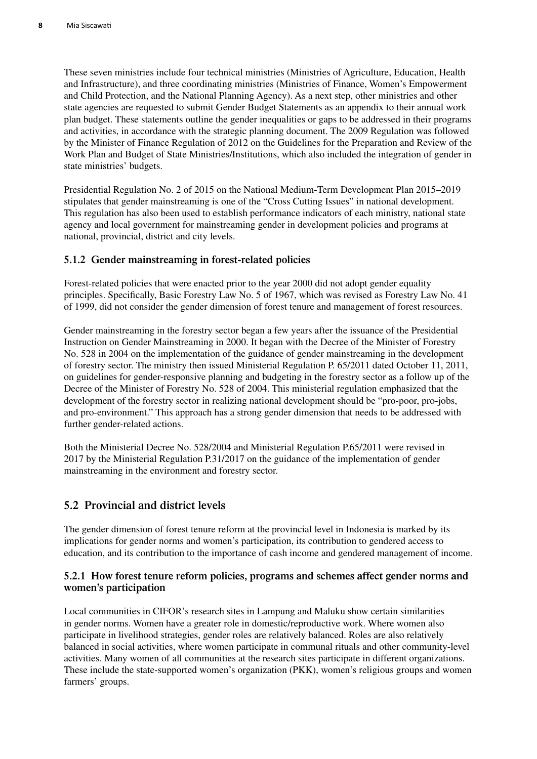<span id="page-15-0"></span>These seven ministries include four technical ministries (Ministries of Agriculture, Education, Health and Infrastructure), and three coordinating ministries (Ministries of Finance, Women's Empowerment and Child Protection, and the National Planning Agency). As a next step, other ministries and other state agencies are requested to submit Gender Budget Statements as an appendix to their annual work plan budget. These statements outline the gender inequalities or gaps to be addressed in their programs and activities, in accordance with the strategic planning document. The 2009 Regulation was followed by the Minister of Finance Regulation of 2012 on the Guidelines for the Preparation and Review of the Work Plan and Budget of State Ministries/Institutions, which also included the integration of gender in state ministries' budgets.

Presidential Regulation No. 2 of 2015 on the National Medium-Term Development Plan 2015–2019 stipulates that gender mainstreaming is one of the "Cross Cutting Issues" in national development. This regulation has also been used to establish performance indicators of each ministry, national state agency and local government for mainstreaming gender in development policies and programs at national, provincial, district and city levels.

#### **5.1.2 Gender mainstreaming in forest-related policies**

Forest-related policies that were enacted prior to the year 2000 did not adopt gender equality principles. Specifically, Basic Forestry Law No. 5 of 1967, which was revised as Forestry Law No. 41 of 1999, did not consider the gender dimension of forest tenure and management of forest resources.

Gender mainstreaming in the forestry sector began a few years after the issuance of the Presidential Instruction on Gender Mainstreaming in 2000. It began with the Decree of the Minister of Forestry No. 528 in 2004 on the implementation of the guidance of gender mainstreaming in the development of forestry sector. The ministry then issued Ministerial Regulation P. 65/2011 dated October 11, 2011, on guidelines for gender-responsive planning and budgeting in the forestry sector as a follow up of the Decree of the Minister of Forestry No. 528 of 2004. This ministerial regulation emphasized that the development of the forestry sector in realizing national development should be "pro-poor, pro-jobs, and pro-environment." This approach has a strong gender dimension that needs to be addressed with further gender-related actions.

Both the Ministerial Decree No. 528/2004 and Ministerial Regulation P.65/2011 were revised in 2017 by the Ministerial Regulation P.31/2017 on the guidance of the implementation of gender mainstreaming in the environment and forestry sector.

### **5.2 Provincial and district levels**

The gender dimension of forest tenure reform at the provincial level in Indonesia is marked by its implications for gender norms and women's participation, its contribution to gendered access to education, and its contribution to the importance of cash income and gendered management of income.

#### **5.2.1 How forest tenure reform policies, programs and schemes affect gender norms and women's participation**

Local communities in CIFOR's research sites in Lampung and Maluku show certain similarities in gender norms. Women have a greater role in domestic/reproductive work. Where women also participate in livelihood strategies, gender roles are relatively balanced. Roles are also relatively balanced in social activities, where women participate in communal rituals and other community-level activities. Many women of all communities at the research sites participate in different organizations. These include the state-supported women's organization (PKK), women's religious groups and women farmers' groups.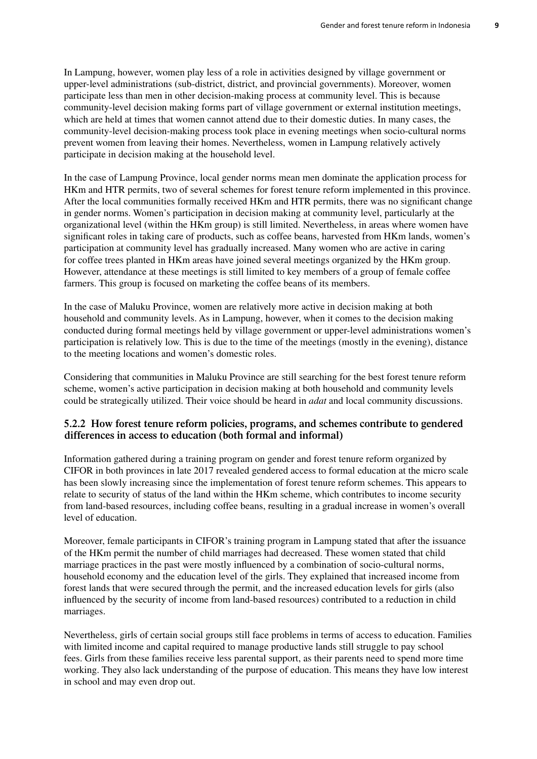In Lampung, however, women play less of a role in activities designed by village government or upper-level administrations (sub-district, district, and provincial governments). Moreover, women participate less than men in other decision-making process at community level. This is because community-level decision making forms part of village government or external institution meetings, which are held at times that women cannot attend due to their domestic duties. In many cases, the community-level decision-making process took place in evening meetings when socio-cultural norms prevent women from leaving their homes. Nevertheless, women in Lampung relatively actively participate in decision making at the household level.

In the case of Lampung Province, local gender norms mean men dominate the application process for HKm and HTR permits, two of several schemes for forest tenure reform implemented in this province. After the local communities formally received HKm and HTR permits, there was no significant change in gender norms. Women's participation in decision making at community level, particularly at the organizational level (within the HKm group) is still limited. Nevertheless, in areas where women have significant roles in taking care of products, such as coffee beans, harvested from HKm lands, women's participation at community level has gradually increased. Many women who are active in caring for coffee trees planted in HKm areas have joined several meetings organized by the HKm group. However, attendance at these meetings is still limited to key members of a group of female coffee farmers. This group is focused on marketing the coffee beans of its members.

In the case of Maluku Province, women are relatively more active in decision making at both household and community levels. As in Lampung, however, when it comes to the decision making conducted during formal meetings held by village government or upper-level administrations women's participation is relatively low. This is due to the time of the meetings (mostly in the evening), distance to the meeting locations and women's domestic roles.

Considering that communities in Maluku Province are still searching for the best forest tenure reform scheme, women's active participation in decision making at both household and community levels could be strategically utilized. Their voice should be heard in *adat* and local community discussions.

#### **5.2.2 How forest tenure reform policies, programs, and schemes contribute to gendered differences in access to education (both formal and informal)**

Information gathered during a training program on gender and forest tenure reform organized by CIFOR in both provinces in late 2017 revealed gendered access to formal education at the micro scale has been slowly increasing since the implementation of forest tenure reform schemes. This appears to relate to security of status of the land within the HKm scheme, which contributes to income security from land-based resources, including coffee beans, resulting in a gradual increase in women's overall level of education.

Moreover, female participants in CIFOR's training program in Lampung stated that after the issuance of the HKm permit the number of child marriages had decreased. These women stated that child marriage practices in the past were mostly influenced by a combination of socio-cultural norms, household economy and the education level of the girls. They explained that increased income from forest lands that were secured through the permit, and the increased education levels for girls (also influenced by the security of income from land-based resources) contributed to a reduction in child marriages.

Nevertheless, girls of certain social groups still face problems in terms of access to education. Families with limited income and capital required to manage productive lands still struggle to pay school fees. Girls from these families receive less parental support, as their parents need to spend more time working. They also lack understanding of the purpose of education. This means they have low interest in school and may even drop out.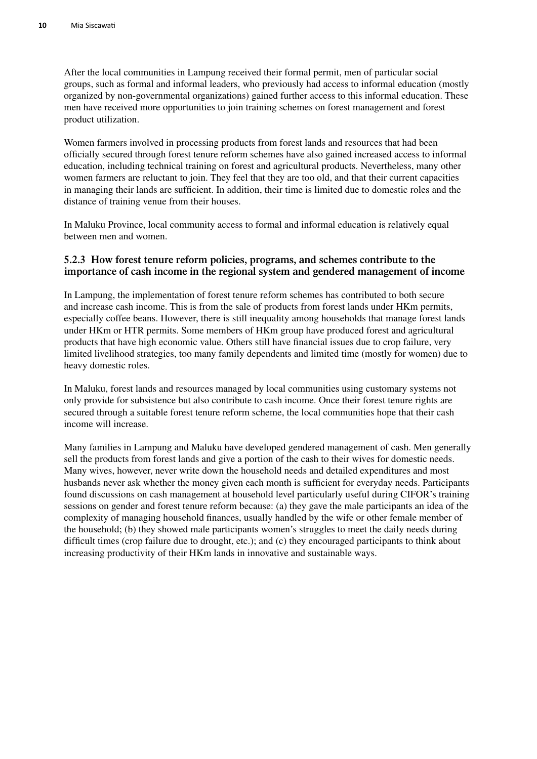After the local communities in Lampung received their formal permit, men of particular social groups, such as formal and informal leaders, who previously had access to informal education (mostly organized by non-governmental organizations) gained further access to this informal education. These men have received more opportunities to join training schemes on forest management and forest product utilization.

Women farmers involved in processing products from forest lands and resources that had been officially secured through forest tenure reform schemes have also gained increased access to informal education, including technical training on forest and agricultural products. Nevertheless, many other women farmers are reluctant to join. They feel that they are too old, and that their current capacities in managing their lands are sufficient. In addition, their time is limited due to domestic roles and the distance of training venue from their houses.

In Maluku Province, local community access to formal and informal education is relatively equal between men and women.

#### **5.2.3 How forest tenure reform policies, programs, and schemes contribute to the importance of cash income in the regional system and gendered management of income**

In Lampung, the implementation of forest tenure reform schemes has contributed to both secure and increase cash income. This is from the sale of products from forest lands under HKm permits, especially coffee beans. However, there is still inequality among households that manage forest lands under HKm or HTR permits. Some members of HKm group have produced forest and agricultural products that have high economic value. Others still have financial issues due to crop failure, very limited livelihood strategies, too many family dependents and limited time (mostly for women) due to heavy domestic roles.

In Maluku, forest lands and resources managed by local communities using customary systems not only provide for subsistence but also contribute to cash income. Once their forest tenure rights are secured through a suitable forest tenure reform scheme, the local communities hope that their cash income will increase.

Many families in Lampung and Maluku have developed gendered management of cash. Men generally sell the products from forest lands and give a portion of the cash to their wives for domestic needs. Many wives, however, never write down the household needs and detailed expenditures and most husbands never ask whether the money given each month is sufficient for everyday needs. Participants found discussions on cash management at household level particularly useful during CIFOR's training sessions on gender and forest tenure reform because: (a) they gave the male participants an idea of the complexity of managing household finances, usually handled by the wife or other female member of the household; (b) they showed male participants women's struggles to meet the daily needs during difficult times (crop failure due to drought, etc.); and (c) they encouraged participants to think about increasing productivity of their HKm lands in innovative and sustainable ways.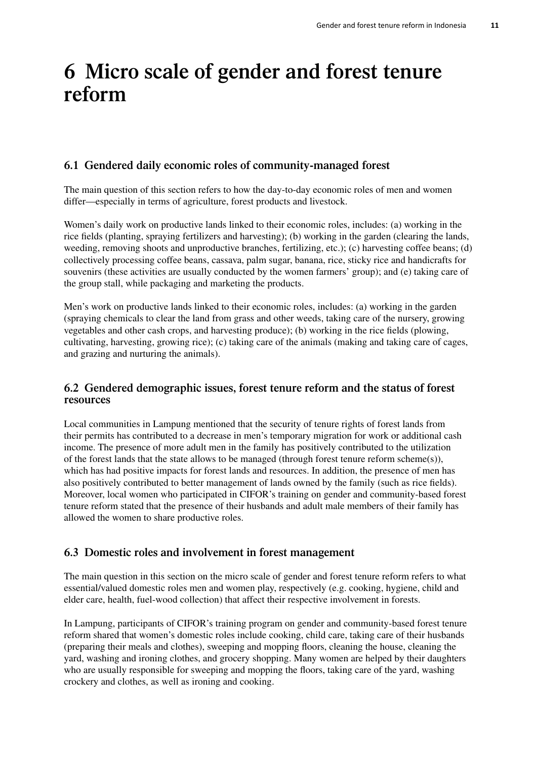## <span id="page-18-0"></span>**6 Micro scale of gender and forest tenure reform**

### **6.1 Gendered daily economic roles of community-managed forest**

The main question of this section refers to how the day-to-day economic roles of men and women differ—especially in terms of agriculture, forest products and livestock.

Women's daily work on productive lands linked to their economic roles, includes: (a) working in the rice fields (planting, spraying fertilizers and harvesting); (b) working in the garden (clearing the lands, weeding, removing shoots and unproductive branches, fertilizing, etc.); (c) harvesting coffee beans; (d) collectively processing coffee beans, cassava, palm sugar, banana, rice, sticky rice and handicrafts for souvenirs (these activities are usually conducted by the women farmers' group); and (e) taking care of the group stall, while packaging and marketing the products.

Men's work on productive lands linked to their economic roles, includes: (a) working in the garden (spraying chemicals to clear the land from grass and other weeds, taking care of the nursery, growing vegetables and other cash crops, and harvesting produce); (b) working in the rice fields (plowing, cultivating, harvesting, growing rice); (c) taking care of the animals (making and taking care of cages, and grazing and nurturing the animals).

#### **6.2 Gendered demographic issues, forest tenure reform and the status of forest resources**

Local communities in Lampung mentioned that the security of tenure rights of forest lands from their permits has contributed to a decrease in men's temporary migration for work or additional cash income. The presence of more adult men in the family has positively contributed to the utilization of the forest lands that the state allows to be managed (through forest tenure reform scheme(s)), which has had positive impacts for forest lands and resources. In addition, the presence of men has also positively contributed to better management of lands owned by the family (such as rice fields). Moreover, local women who participated in CIFOR's training on gender and community-based forest tenure reform stated that the presence of their husbands and adult male members of their family has allowed the women to share productive roles.

### **6.3 Domestic roles and involvement in forest management**

The main question in this section on the micro scale of gender and forest tenure reform refers to what essential/valued domestic roles men and women play, respectively (e.g. cooking, hygiene, child and elder care, health, fuel-wood collection) that affect their respective involvement in forests.

In Lampung, participants of CIFOR's training program on gender and community-based forest tenure reform shared that women's domestic roles include cooking, child care, taking care of their husbands (preparing their meals and clothes), sweeping and mopping floors, cleaning the house, cleaning the yard, washing and ironing clothes, and grocery shopping. Many women are helped by their daughters who are usually responsible for sweeping and mopping the floors, taking care of the yard, washing crockery and clothes, as well as ironing and cooking.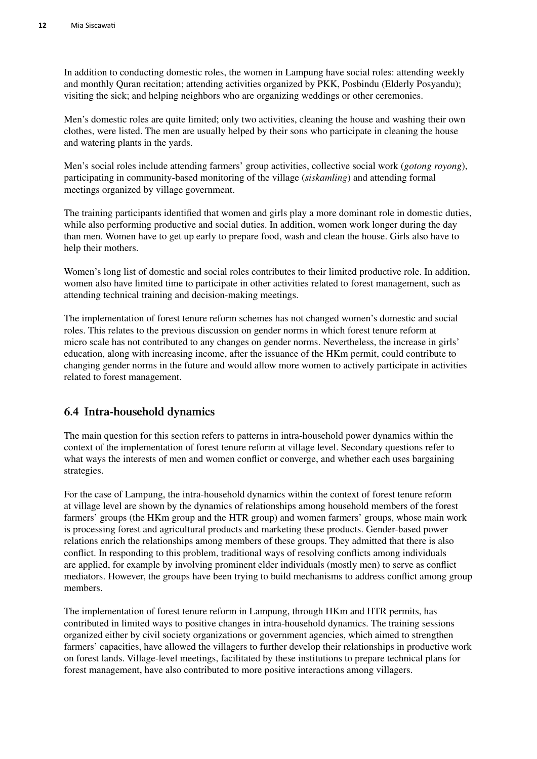<span id="page-19-0"></span>In addition to conducting domestic roles, the women in Lampung have social roles: attending weekly and monthly Quran recitation; attending activities organized by PKK, Posbindu (Elderly Posyandu); visiting the sick; and helping neighbors who are organizing weddings or other ceremonies.

Men's domestic roles are quite limited; only two activities, cleaning the house and washing their own clothes, were listed. The men are usually helped by their sons who participate in cleaning the house and watering plants in the yards.

Men's social roles include attending farmers' group activities, collective social work (*gotong royong*), participating in community-based monitoring of the village (*siskamling*) and attending formal meetings organized by village government.

The training participants identified that women and girls play a more dominant role in domestic duties, while also performing productive and social duties. In addition, women work longer during the day than men. Women have to get up early to prepare food, wash and clean the house. Girls also have to help their mothers.

Women's long list of domestic and social roles contributes to their limited productive role. In addition, women also have limited time to participate in other activities related to forest management, such as attending technical training and decision-making meetings.

The implementation of forest tenure reform schemes has not changed women's domestic and social roles. This relates to the previous discussion on gender norms in which forest tenure reform at micro scale has not contributed to any changes on gender norms. Nevertheless, the increase in girls' education, along with increasing income, after the issuance of the HKm permit, could contribute to changing gender norms in the future and would allow more women to actively participate in activities related to forest management.

### **6.4 Intra-household dynamics**

The main question for this section refers to patterns in intra-household power dynamics within the context of the implementation of forest tenure reform at village level. Secondary questions refer to what ways the interests of men and women conflict or converge, and whether each uses bargaining strategies.

For the case of Lampung, the intra-household dynamics within the context of forest tenure reform at village level are shown by the dynamics of relationships among household members of the forest farmers' groups (the HKm group and the HTR group) and women farmers' groups, whose main work is processing forest and agricultural products and marketing these products. Gender-based power relations enrich the relationships among members of these groups. They admitted that there is also conflict. In responding to this problem, traditional ways of resolving conflicts among individuals are applied, for example by involving prominent elder individuals (mostly men) to serve as conflict mediators. However, the groups have been trying to build mechanisms to address conflict among group members.

The implementation of forest tenure reform in Lampung, through HKm and HTR permits, has contributed in limited ways to positive changes in intra-household dynamics. The training sessions organized either by civil society organizations or government agencies, which aimed to strengthen farmers' capacities, have allowed the villagers to further develop their relationships in productive work on forest lands. Village-level meetings, facilitated by these institutions to prepare technical plans for forest management, have also contributed to more positive interactions among villagers.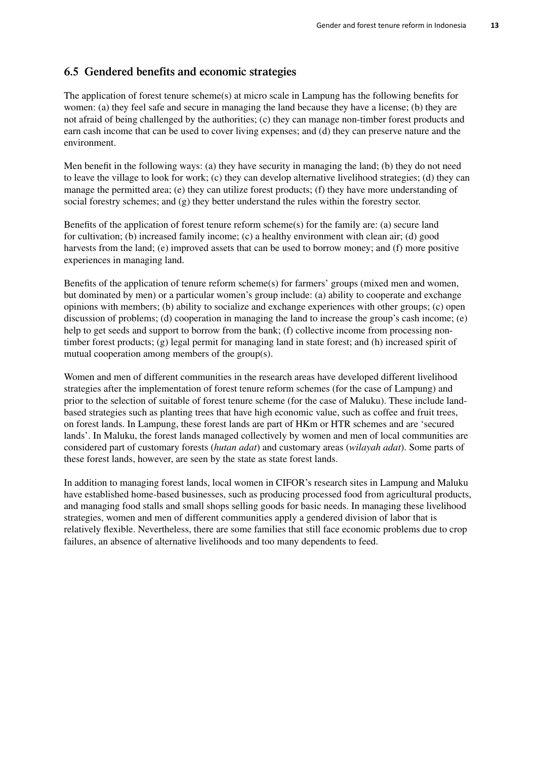#### <span id="page-20-0"></span>**6.5 Gendered benefits and economic strategies**

The application of forest tenure scheme(s) at micro scale in Lampung has the following benefits for women: (a) they feel safe and secure in managing the land because they have a license; (b) they are not afraid of being challenged by the authorities; (c) they can manage non-timber forest products and earn cash income that can be used to cover living expenses; and (d) they can preserve nature and the environment.

Men benefit in the following ways: (a) they have security in managing the land; (b) they do not need to leave the village to look for work; (c) they can develop alternative livelihood strategies; (d) they can manage the permitted area; (e) they can utilize forest products; (f) they have more understanding of social forestry schemes; and (g) they better understand the rules within the forestry sector.

Benefits of the application of forest tenure reform scheme(s) for the family are: (a) secure land for cultivation; (b) increased family income; (c) a healthy environment with clean air; (d) good harvests from the land; (e) improved assets that can be used to borrow money; and (f) more positive experiences in managing land.

Benefits of the application of tenure reform scheme(s) for farmers' groups (mixed men and women, but dominated by men) or a particular women's group include: (a) ability to cooperate and exchange opinions with members; (b) ability to socialize and exchange experiences with other groups; (c) open discussion of problems; (d) cooperation in managing the land to increase the group's cash income; (e) help to get seeds and support to borrow from the bank; (f) collective income from processing nontimber forest products; (g) legal permit for managing land in state forest; and (h) increased spirit of mutual cooperation among members of the group(s).

Women and men of different communities in the research areas have developed different livelihood strategies after the implementation of forest tenure reform schemes (for the case of Lampung) and prior to the selection of suitable of forest tenure scheme (for the case of Maluku). These include landbased strategies such as planting trees that have high economic value, such as coffee and fruit trees, on forest lands. In Lampung, these forest lands are part of HKm or HTR schemes and are 'secured lands'. In Maluku, the forest lands managed collectively by women and men of local communities are considered part of customary forests (*hutan adat*) and customary areas (*wilayah adat*). Some parts of these forest lands, however, are seen by the state as state forest lands.

In addition to managing forest lands, local women in CIFOR's research sites in Lampung and Maluku have established home-based businesses, such as producing processed food from agricultural products, and managing food stalls and small shops selling goods for basic needs. In managing these livelihood strategies, women and men of different communities apply a gendered division of labor that is relatively flexible. Nevertheless, there are some families that still face economic problems due to crop failures, an absence of alternative livelihoods and too many dependents to feed.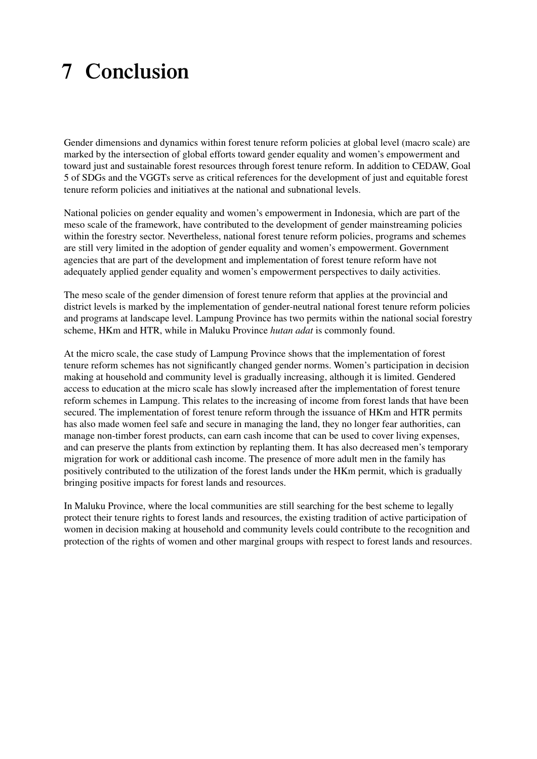## <span id="page-21-0"></span>**7 Conclusion**

Gender dimensions and dynamics within forest tenure reform policies at global level (macro scale) are marked by the intersection of global efforts toward gender equality and women's empowerment and toward just and sustainable forest resources through forest tenure reform. In addition to CEDAW, Goal 5 of SDGs and the VGGTs serve as critical references for the development of just and equitable forest tenure reform policies and initiatives at the national and subnational levels.

National policies on gender equality and women's empowerment in Indonesia, which are part of the meso scale of the framework, have contributed to the development of gender mainstreaming policies within the forestry sector. Nevertheless, national forest tenure reform policies, programs and schemes are still very limited in the adoption of gender equality and women's empowerment. Government agencies that are part of the development and implementation of forest tenure reform have not adequately applied gender equality and women's empowerment perspectives to daily activities.

The meso scale of the gender dimension of forest tenure reform that applies at the provincial and district levels is marked by the implementation of gender-neutral national forest tenure reform policies and programs at landscape level. Lampung Province has two permits within the national social forestry scheme, HKm and HTR, while in Maluku Province *hutan adat* is commonly found.

At the micro scale, the case study of Lampung Province shows that the implementation of forest tenure reform schemes has not significantly changed gender norms. Women's participation in decision making at household and community level is gradually increasing, although it is limited. Gendered access to education at the micro scale has slowly increased after the implementation of forest tenure reform schemes in Lampung. This relates to the increasing of income from forest lands that have been secured. The implementation of forest tenure reform through the issuance of HKm and HTR permits has also made women feel safe and secure in managing the land, they no longer fear authorities, can manage non-timber forest products, can earn cash income that can be used to cover living expenses, and can preserve the plants from extinction by replanting them. It has also decreased men's temporary migration for work or additional cash income. The presence of more adult men in the family has positively contributed to the utilization of the forest lands under the HKm permit, which is gradually bringing positive impacts for forest lands and resources.

In Maluku Province, where the local communities are still searching for the best scheme to legally protect their tenure rights to forest lands and resources, the existing tradition of active participation of women in decision making at household and community levels could contribute to the recognition and protection of the rights of women and other marginal groups with respect to forest lands and resources.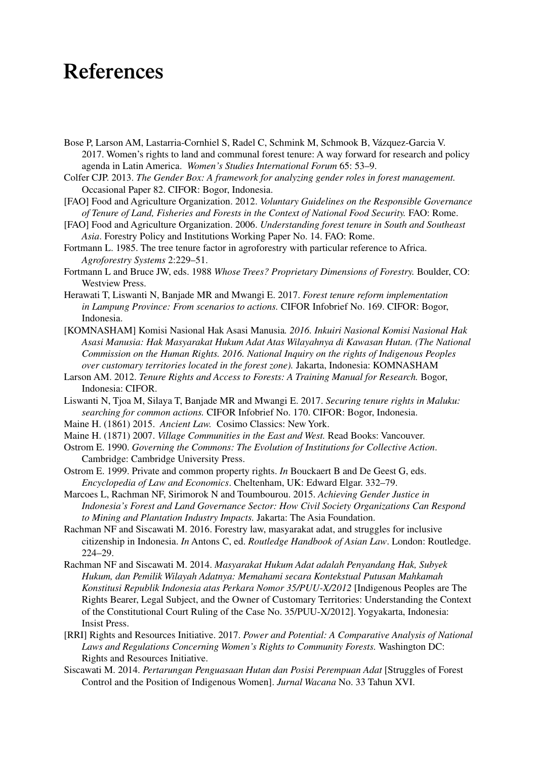### <span id="page-22-0"></span>**References**

- Bose P, Larson AM, Lastarria-Cornhiel S, Radel C, Schmink M, Schmook B, [Vázquez-Garcia V.](https://www.cifor.org/publication-author/vazquez-garcia-v/)  [2017. Women's rights to land and communal forest tenure: A way forward for research and policy](https://www.cifor.org/publication-author/vazquez-garcia-v/)  agenda in Latin America. *[Women's Studies International Forum](https://www.cifor.org/publication-author/vazquez-garcia-v/)* 65: 53–9.
- Colfer CJP. 2013. *The Gender Box: A framework for analyzing gender roles in forest management.* Occasional Paper 82. CIFOR: Bogor, Indonesia.
- [FAO] Food and Agriculture Organization. 2012. *Voluntary Guidelines on the Responsible Governance of Tenure of Land, Fisheries and Forests in the Context of National Food Security.* FAO: Rome.
- [FAO] Food and Agriculture Organization. 2006. *Understanding forest tenure in South and Southeast Asia*. Forestry Policy and Institutions Working Paper No. 14. FAO: Rome.
- Fortmann L. 1985. The tree tenure factor in agroforestry with particular reference to Africa. *Agroforestry Systems* 2:229–51.
- Fortmann L and Bruce JW, eds. 1988 *Whose Trees? Proprietary Dimensions of Forestry.* Boulder, CO: Westview Press.
- Herawati T, Liswanti N, Banjade MR and Mwangi E. 2017. *Forest tenure reform implementation in Lampung Province: From scenarios to actions.* CIFOR Infobrief No. 169. CIFOR: Bogor, Indonesia.
- [KOMNASHAM] Komisi Nasional Hak Asasi Manusia*. 2016. Inkuiri Nasional Komisi Nasional Hak Asasi Manusia: Hak Masyarakat Hukum Adat Atas Wilayahnya di Kawasan Hutan. (The National Commission on the Human Rights. 2016. National Inquiry on the rights of Indigenous Peoples over customary territories located in the forest zone).* Jakarta, Indonesia: KOMNASHAM
- Larson AM. 2012. *Tenure Rights and Access to Forests: A Training Manual for Research.* Bogor, Indonesia: CIFOR.
- Liswanti N, Tjoa M, Silaya T, Banjade MR and Mwangi E. 2017. *Securing tenure rights in Maluku: searching for common actions.* CIFOR Infobrief No. 170. CIFOR: Bogor, Indonesia.
- Maine H. (1861) 2015. *Ancient Law.* Cosimo Classics: New York.
- Maine H. (1871) 2007. *Village Communities in the East and West.* Read Books: Vancouver.
- Ostrom E. 1990. *Governing the Commons: The Evolution of Institutions for Collective Action*. Cambridge: Cambridge University Press.
- Ostrom E. 1999. Private and common property rights. *In* Bouckaert B and De Geest G, eds. *Encyclopedia of Law and Economics*. Cheltenham, UK: Edward Elgar. 332–79.
- Marcoes L, Rachman NF, Sirimorok N and Toumbourou. 2015. *Achieving Gender Justice in Indonesia's Forest and Land Governance Sector: How Civil Society Organizations Can Respond to Mining and Plantation Industry Impacts.* Jakarta: The Asia Foundation.
- Rachman NF and Siscawati M. 2016. Forestry law, masyarakat adat, and struggles for inclusive citizenship in Indonesia. *In* Antons C, ed. *Routledge Handbook of Asian Law*. London: Routledge. 224–29.
- Rachman NF and Siscawati M. 2014. *Masyarakat Hukum Adat adalah Penyandang Hak, Subyek Hukum, dan Pemilik Wilayah Adatnya: Memahami secara Kontekstual Putusan Mahkamah Konstitusi Republik Indonesia atas Perkara Nomor 35/PUU-X/2012* [Indigenous Peoples are The Rights Bearer, Legal Subject, and the Owner of Customary Territories: Understanding the Context of the Constitutional Court Ruling of the Case No. 35/PUU-X/2012]. Yogyakarta, Indonesia: Insist Press.
- [RRI] Rights and Resources Initiative. 2017. *Power and Potential: A Comparative Analysis of National Laws and Regulations Concerning Women's Rights to Community Forests.* Washington DC: Rights and Resources Initiative.
- Siscawati M. 2014. *Pertarungan Penguasaan Hutan dan Posisi Perempuan Adat* [Struggles of Forest Control and the Position of Indigenous Women]. *Jurnal Wacana* No. 33 Tahun XVI.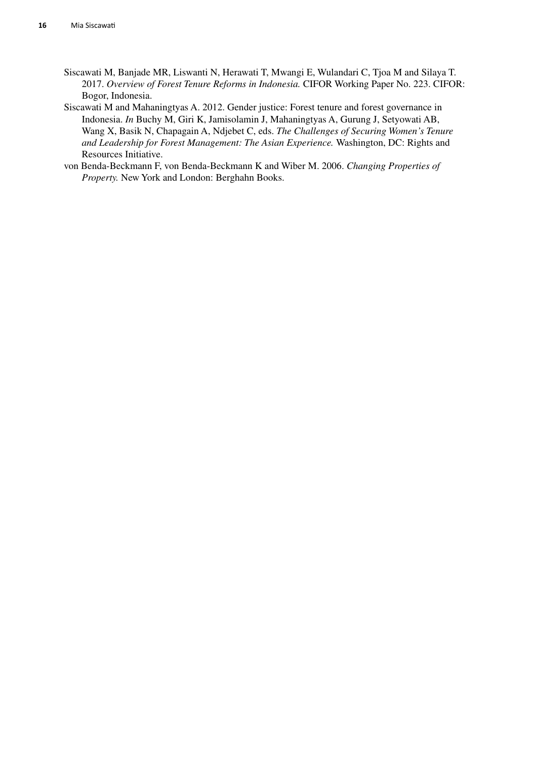- Siscawati M, Banjade MR, Liswanti N, Herawati T, Mwangi E, Wulandari C, Tjoa M and Silaya T. 2017. *Overview of Forest Tenure Reforms in Indonesia.* CIFOR Working Paper No. 223. CIFOR: Bogor, Indonesia.
- Siscawati M and Mahaningtyas A. 2012. Gender justice: Forest tenure and forest governance in Indonesia. *In* Buchy M, Giri K, Jamisolamin J, Mahaningtyas A, Gurung J, Setyowati AB, Wang X, Basik N, Chapagain A, Ndjebet C, eds. *The Challenges of Securing Women's Tenure and Leadership for Forest Management: The Asian Experience.* Washington, DC: Rights and Resources Initiative.
- von Benda-Beckmann F, von Benda-Beckmann K and Wiber M. 2006. *Changing Properties of Property.* New York and London: Berghahn Books.